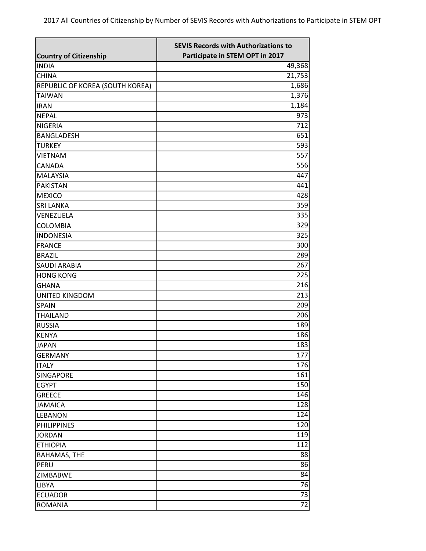| Participate in STEM OPT in 2017<br><b>Country of Citizenship</b><br>49,368<br><b>INDIA</b><br>21,753<br><b>CHINA</b><br>1,686<br>REPUBLIC OF KOREA (SOUTH KOREA)<br><b>TAIWAN</b><br>1,376<br>1,184<br><b>IRAN</b><br>973<br><b>NEPAL</b><br>$\overline{712}$<br><b>NIGERIA</b><br>651<br><b>BANGLADESH</b><br>593<br><b>TURKEY</b><br>557<br><b>VIETNAM</b><br>556<br>CANADA<br>447<br><b>MALAYSIA</b><br><b>PAKISTAN</b><br>441<br>428<br><b>MEXICO</b><br>359<br><b>SRI LANKA</b><br>335<br>VENEZUELA<br><b>COLOMBIA</b><br>329<br>325<br><b>INDONESIA</b><br>300<br><b>FRANCE</b><br>289<br><b>BRAZIL</b><br>267<br><b>SAUDI ARABIA</b><br><b>HONG KONG</b><br>225<br>216<br><b>GHANA</b><br>213<br><b>UNITED KINGDOM</b><br><b>SPAIN</b><br>209<br>206<br><b>THAILAND</b><br>189<br><b>RUSSIA</b><br>186<br><b>KENYA</b><br>183<br><b>JAPAN</b><br>177<br><b>GERMANY</b><br>176<br><b>ITALY</b><br>161<br>SINGAPORE<br>150<br><b>EGYPT</b><br>146<br><b>GREECE</b><br>128<br><b>JAMAICA</b><br>124<br>LEBANON |
|--------------------------------------------------------------------------------------------------------------------------------------------------------------------------------------------------------------------------------------------------------------------------------------------------------------------------------------------------------------------------------------------------------------------------------------------------------------------------------------------------------------------------------------------------------------------------------------------------------------------------------------------------------------------------------------------------------------------------------------------------------------------------------------------------------------------------------------------------------------------------------------------------------------------------------------------------------------------------------------------------------------------|
|                                                                                                                                                                                                                                                                                                                                                                                                                                                                                                                                                                                                                                                                                                                                                                                                                                                                                                                                                                                                                    |
|                                                                                                                                                                                                                                                                                                                                                                                                                                                                                                                                                                                                                                                                                                                                                                                                                                                                                                                                                                                                                    |
|                                                                                                                                                                                                                                                                                                                                                                                                                                                                                                                                                                                                                                                                                                                                                                                                                                                                                                                                                                                                                    |
|                                                                                                                                                                                                                                                                                                                                                                                                                                                                                                                                                                                                                                                                                                                                                                                                                                                                                                                                                                                                                    |
|                                                                                                                                                                                                                                                                                                                                                                                                                                                                                                                                                                                                                                                                                                                                                                                                                                                                                                                                                                                                                    |
|                                                                                                                                                                                                                                                                                                                                                                                                                                                                                                                                                                                                                                                                                                                                                                                                                                                                                                                                                                                                                    |
|                                                                                                                                                                                                                                                                                                                                                                                                                                                                                                                                                                                                                                                                                                                                                                                                                                                                                                                                                                                                                    |
|                                                                                                                                                                                                                                                                                                                                                                                                                                                                                                                                                                                                                                                                                                                                                                                                                                                                                                                                                                                                                    |
|                                                                                                                                                                                                                                                                                                                                                                                                                                                                                                                                                                                                                                                                                                                                                                                                                                                                                                                                                                                                                    |
|                                                                                                                                                                                                                                                                                                                                                                                                                                                                                                                                                                                                                                                                                                                                                                                                                                                                                                                                                                                                                    |
|                                                                                                                                                                                                                                                                                                                                                                                                                                                                                                                                                                                                                                                                                                                                                                                                                                                                                                                                                                                                                    |
|                                                                                                                                                                                                                                                                                                                                                                                                                                                                                                                                                                                                                                                                                                                                                                                                                                                                                                                                                                                                                    |
|                                                                                                                                                                                                                                                                                                                                                                                                                                                                                                                                                                                                                                                                                                                                                                                                                                                                                                                                                                                                                    |
|                                                                                                                                                                                                                                                                                                                                                                                                                                                                                                                                                                                                                                                                                                                                                                                                                                                                                                                                                                                                                    |
|                                                                                                                                                                                                                                                                                                                                                                                                                                                                                                                                                                                                                                                                                                                                                                                                                                                                                                                                                                                                                    |
|                                                                                                                                                                                                                                                                                                                                                                                                                                                                                                                                                                                                                                                                                                                                                                                                                                                                                                                                                                                                                    |
|                                                                                                                                                                                                                                                                                                                                                                                                                                                                                                                                                                                                                                                                                                                                                                                                                                                                                                                                                                                                                    |
|                                                                                                                                                                                                                                                                                                                                                                                                                                                                                                                                                                                                                                                                                                                                                                                                                                                                                                                                                                                                                    |
|                                                                                                                                                                                                                                                                                                                                                                                                                                                                                                                                                                                                                                                                                                                                                                                                                                                                                                                                                                                                                    |
|                                                                                                                                                                                                                                                                                                                                                                                                                                                                                                                                                                                                                                                                                                                                                                                                                                                                                                                                                                                                                    |
|                                                                                                                                                                                                                                                                                                                                                                                                                                                                                                                                                                                                                                                                                                                                                                                                                                                                                                                                                                                                                    |
|                                                                                                                                                                                                                                                                                                                                                                                                                                                                                                                                                                                                                                                                                                                                                                                                                                                                                                                                                                                                                    |
|                                                                                                                                                                                                                                                                                                                                                                                                                                                                                                                                                                                                                                                                                                                                                                                                                                                                                                                                                                                                                    |
|                                                                                                                                                                                                                                                                                                                                                                                                                                                                                                                                                                                                                                                                                                                                                                                                                                                                                                                                                                                                                    |
|                                                                                                                                                                                                                                                                                                                                                                                                                                                                                                                                                                                                                                                                                                                                                                                                                                                                                                                                                                                                                    |
|                                                                                                                                                                                                                                                                                                                                                                                                                                                                                                                                                                                                                                                                                                                                                                                                                                                                                                                                                                                                                    |
|                                                                                                                                                                                                                                                                                                                                                                                                                                                                                                                                                                                                                                                                                                                                                                                                                                                                                                                                                                                                                    |
|                                                                                                                                                                                                                                                                                                                                                                                                                                                                                                                                                                                                                                                                                                                                                                                                                                                                                                                                                                                                                    |
|                                                                                                                                                                                                                                                                                                                                                                                                                                                                                                                                                                                                                                                                                                                                                                                                                                                                                                                                                                                                                    |
|                                                                                                                                                                                                                                                                                                                                                                                                                                                                                                                                                                                                                                                                                                                                                                                                                                                                                                                                                                                                                    |
|                                                                                                                                                                                                                                                                                                                                                                                                                                                                                                                                                                                                                                                                                                                                                                                                                                                                                                                                                                                                                    |
|                                                                                                                                                                                                                                                                                                                                                                                                                                                                                                                                                                                                                                                                                                                                                                                                                                                                                                                                                                                                                    |
|                                                                                                                                                                                                                                                                                                                                                                                                                                                                                                                                                                                                                                                                                                                                                                                                                                                                                                                                                                                                                    |
|                                                                                                                                                                                                                                                                                                                                                                                                                                                                                                                                                                                                                                                                                                                                                                                                                                                                                                                                                                                                                    |
|                                                                                                                                                                                                                                                                                                                                                                                                                                                                                                                                                                                                                                                                                                                                                                                                                                                                                                                                                                                                                    |
|                                                                                                                                                                                                                                                                                                                                                                                                                                                                                                                                                                                                                                                                                                                                                                                                                                                                                                                                                                                                                    |
|                                                                                                                                                                                                                                                                                                                                                                                                                                                                                                                                                                                                                                                                                                                                                                                                                                                                                                                                                                                                                    |
| <b>PHILIPPINES</b><br>120                                                                                                                                                                                                                                                                                                                                                                                                                                                                                                                                                                                                                                                                                                                                                                                                                                                                                                                                                                                          |
| 119<br><b>JORDAN</b>                                                                                                                                                                                                                                                                                                                                                                                                                                                                                                                                                                                                                                                                                                                                                                                                                                                                                                                                                                                               |
| 112<br><b>ETHIOPIA</b>                                                                                                                                                                                                                                                                                                                                                                                                                                                                                                                                                                                                                                                                                                                                                                                                                                                                                                                                                                                             |
| 88<br><b>BAHAMAS, THE</b>                                                                                                                                                                                                                                                                                                                                                                                                                                                                                                                                                                                                                                                                                                                                                                                                                                                                                                                                                                                          |
| 86<br>PERU                                                                                                                                                                                                                                                                                                                                                                                                                                                                                                                                                                                                                                                                                                                                                                                                                                                                                                                                                                                                         |
| 84<br>ZIMBABWE                                                                                                                                                                                                                                                                                                                                                                                                                                                                                                                                                                                                                                                                                                                                                                                                                                                                                                                                                                                                     |
| 76<br>LIBYA                                                                                                                                                                                                                                                                                                                                                                                                                                                                                                                                                                                                                                                                                                                                                                                                                                                                                                                                                                                                        |
| 73<br><b>ECUADOR</b>                                                                                                                                                                                                                                                                                                                                                                                                                                                                                                                                                                                                                                                                                                                                                                                                                                                                                                                                                                                               |
| 72<br><b>ROMANIA</b>                                                                                                                                                                                                                                                                                                                                                                                                                                                                                                                                                                                                                                                                                                                                                                                                                                                                                                                                                                                               |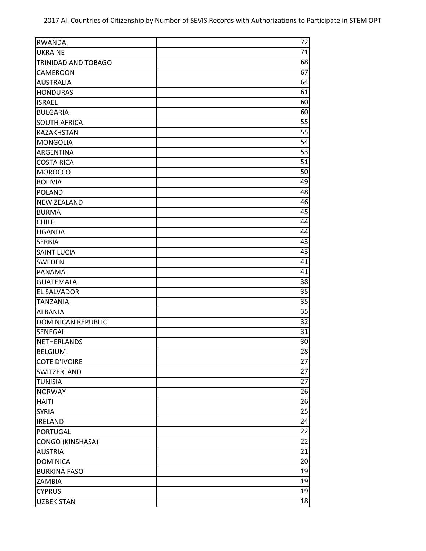| <b>RWANDA</b>             | 72              |
|---------------------------|-----------------|
| <b>UKRAINE</b>            | 71              |
| TRINIDAD AND TOBAGO       | 68              |
| CAMEROON                  | 67              |
| <b>AUSTRALIA</b>          | 64              |
| <b>HONDURAS</b>           | 61              |
| <b>ISRAEL</b>             | 60              |
| <b>BULGARIA</b>           | 60              |
| <b>SOUTH AFRICA</b>       | $\overline{55}$ |
| KAZAKHSTAN                | $\overline{55}$ |
| <b>MONGOLIA</b>           | 54              |
| ARGENTINA                 | 53              |
| <b>COSTA RICA</b>         | 51              |
| <b>MOROCCO</b>            | 50              |
| <b>BOLIVIA</b>            | 49              |
| <b>POLAND</b>             | 48              |
| <b>NEW ZEALAND</b>        | 46              |
| <b>BURMA</b>              | 45              |
| <b>CHILE</b>              | 44              |
| <b>UGANDA</b>             | 44              |
| <b>SERBIA</b>             | 43              |
| <b>SAINT LUCIA</b>        | 43              |
| SWEDEN                    | 41              |
| <b>PANAMA</b>             | 41              |
| <b>GUATEMALA</b>          | 38              |
| EL SALVADOR               | 35              |
| <b>TANZANIA</b>           | 35              |
| <b>ALBANIA</b>            | 35              |
| <b>DOMINICAN REPUBLIC</b> | 32              |
| SENEGAL                   | 31              |
| <b>NETHERLANDS</b>        | 30              |
| <b>BELGIUM</b>            | 28              |
| <b>COTE D'IVOIRE</b>      | 27              |
| SWITZERLAND               | 27              |
| <b>TUNISIA</b>            | 27              |
| <b>NORWAY</b>             | 26              |
| <b>HAITI</b>              | 26              |
| <b>SYRIA</b>              | 25              |
| <b>IRELAND</b>            | 24              |
| PORTUGAL                  | 22              |
| <b>CONGO (KINSHASA)</b>   | 22              |
| <b>AUSTRIA</b>            | $\overline{21}$ |
| <b>DOMINICA</b>           | 20              |
| <b>BURKINA FASO</b>       | 19              |
| ZAMBIA                    | 19              |
| <b>CYPRUS</b>             | 19              |
| <b>UZBEKISTAN</b>         | 18              |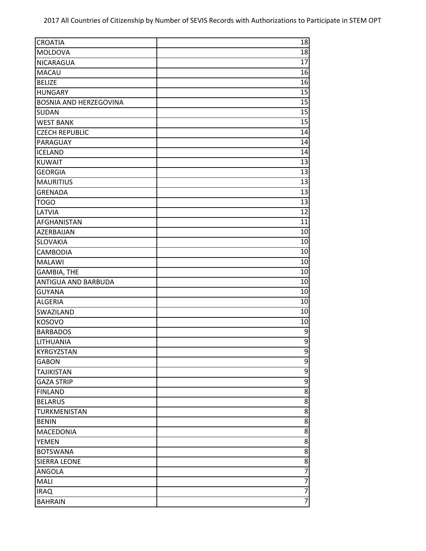| <b>CROATIA</b>                | 18              |
|-------------------------------|-----------------|
| MOLDOVA                       | 18              |
| NICARAGUA                     | 17              |
| MACAU                         | 16              |
| <b>BELIZE</b>                 | 16              |
| <b>HUNGARY</b>                | 15              |
| <b>BOSNIA AND HERZEGOVINA</b> | 15              |
| <b>SUDAN</b>                  | 15              |
| <b>WEST BANK</b>              | $\overline{15}$ |
| <b>CZECH REPUBLIC</b>         | 14              |
| PARAGUAY                      | 14              |
| <b>ICELAND</b>                | 14              |
| <b>KUWAIT</b>                 | 13              |
| <b>GEORGIA</b>                | 13              |
| <b>MAURITIUS</b>              | 13              |
| <b>GRENADA</b>                | 13              |
| <b>TOGO</b>                   | 13              |
| LATVIA                        | 12              |
| AFGHANISTAN                   | 11              |
| AZERBAIJAN                    | 10              |
| SLOVAKIA                      | 10              |
| CAMBODIA                      | 10              |
| <b>MALAWI</b>                 | 10              |
| <b>GAMBIA, THE</b>            | 10              |
| ANTIGUA AND BARBUDA           | 10              |
| <b>GUYANA</b>                 | 10              |
| <b>ALGERIA</b>                | 10              |
| SWAZILAND                     | 10              |
| KOSOVO                        | 10              |
| <b>BARBADOS</b>               | 9               |
| LITHUANIA                     | $\overline{9}$  |
| KYRGYZSTAN                    | $\overline{9}$  |
| <b>GABON</b>                  | $\overline{9}$  |
| <b>TAJIKISTAN</b>             | $\overline{9}$  |
| <b>GAZA STRIP</b>             | $\overline{9}$  |
| <b>FINLAND</b>                | $\overline{8}$  |
| <b>BELARUS</b>                | $\overline{8}$  |
| TURKMENISTAN                  | $\overline{8}$  |
| <b>BENIN</b>                  | 8               |
| MACEDONIA                     | 8               |
| <b>YEMEN</b>                  | 8               |
| <b>BOTSWANA</b>               | $\overline{8}$  |
| <b>SIERRA LEONE</b>           | $\overline{8}$  |
| ANGOLA                        | $\overline{7}$  |
| MALI                          | $\overline{7}$  |
| <b>IRAQ</b>                   | $\overline{7}$  |
| <b>BAHRAIN</b>                | $\overline{7}$  |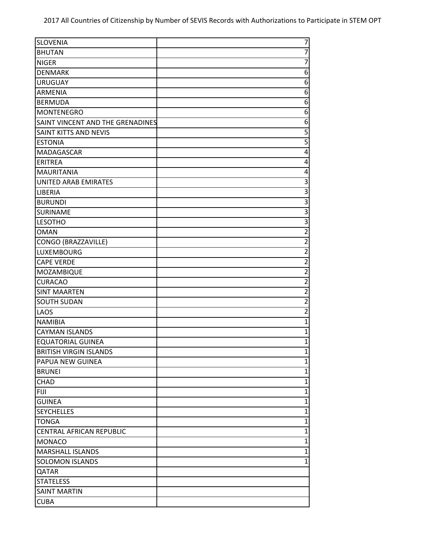| <b>SLOVENIA</b>                  | 7                       |
|----------------------------------|-------------------------|
| <b>BHUTAN</b>                    | $\overline{7}$          |
| <b>NIGER</b>                     | $\overline{7}$          |
| <b>DENMARK</b>                   | 6                       |
| <b>URUGUAY</b>                   | 6                       |
| <b>ARMENIA</b>                   | 6                       |
| <b>BERMUDA</b>                   | 6                       |
| <b>MONTENEGRO</b>                | 6                       |
| SAINT VINCENT AND THE GRENADINES | 6                       |
| SAINT KITTS AND NEVIS            | $\overline{5}$          |
| <b>ESTONIA</b>                   | $\overline{5}$          |
| MADAGASCAR                       | 4                       |
| <b>ERITREA</b>                   | 4                       |
| <b>MAURITANIA</b>                | 4                       |
| <b>UNITED ARAB EMIRATES</b>      | 3                       |
| LIBERIA                          | 3                       |
| <b>BURUNDI</b>                   | $\overline{3}$          |
| SURINAME                         | $\overline{3}$          |
| <b>LESOTHO</b>                   | $\overline{3}$          |
| <b>OMAN</b>                      | $\overline{2}$          |
| CONGO (BRAZZAVILLE)              | $\overline{2}$          |
| LUXEMBOURG                       | $\overline{2}$          |
| <b>CAPE VERDE</b>                | $\overline{\mathbf{c}}$ |
| MOZAMBIQUE                       | $\overline{c}$          |
| <b>CURACAO</b>                   | $\overline{2}$          |
| <b>SINT MAARTEN</b>              | $\overline{2}$          |
| <b>SOUTH SUDAN</b>               | $\overline{2}$          |
| LAOS                             | $\overline{2}$          |
| <b>NAMIBIA</b>                   | $\mathbf{1}$            |
| <b>CAYMAN ISLANDS</b>            | $\mathbf 1$             |
| <b>EQUATORIAL GUINEA</b>         | $\mathbf 1$             |
| <b>BRITISH VIRGIN ISLANDS</b>    | $\mathbf 1$             |
| PAPUA NEW GUINEA                 | $\overline{1}$          |
| <b>BRUNEI</b>                    | $\mathbf{1}$            |
| CHAD                             | $\mathbf{1}$            |
| <b>FIJI</b>                      | $\mathbf{1}$            |
| <b>GUINEA</b>                    | $\mathbf{1}$            |
| <b>SEYCHELLES</b>                | $\mathbf{1}$            |
| <b>TONGA</b>                     | $\mathbf{1}$            |
| CENTRAL AFRICAN REPUBLIC         | $\mathbf{1}$            |
| <b>MONACO</b>                    | $\mathbf{1}$            |
| <b>MARSHALL ISLANDS</b>          | $\overline{1}$          |
| <b>SOLOMON ISLANDS</b>           | 1                       |
| QATAR                            |                         |
| <b>STATELESS</b>                 |                         |
| <b>SAINT MARTIN</b>              |                         |
| <b>CUBA</b>                      |                         |